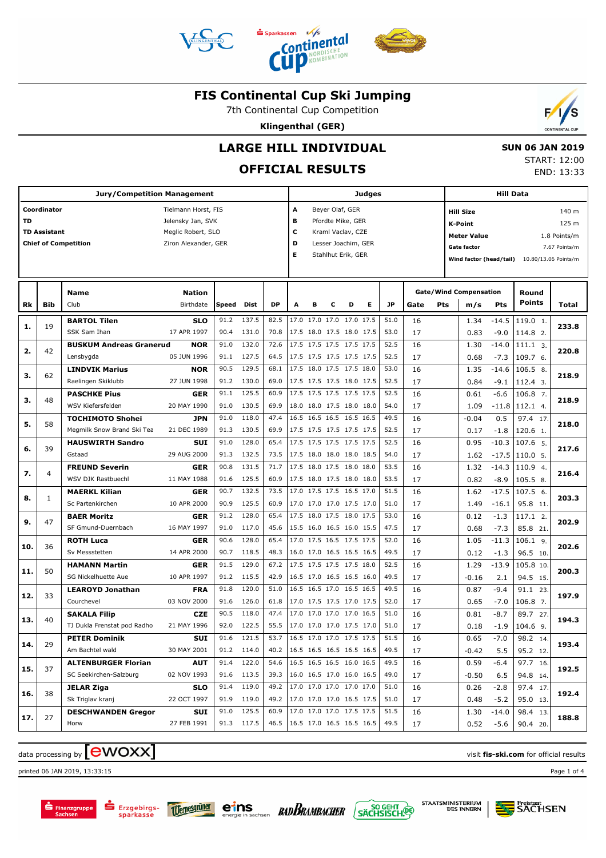



7th Continental Cup Competition

**Klingenthal (GER)**



# **LARGE HILL INDIVIDUAL**

## **OFFICIAL RESULTS**

 **SUN 06 JAN 2019** START: 12:00 END: 13:33

|     |                     | <b>Jury/Competition Management</b>      |                                            |              |                |              |                          |                                                      |   |                                                                | Judges                     |              |          |     |                                                                     | <b>Hill Data</b>  |                                |                               |
|-----|---------------------|-----------------------------------------|--------------------------------------------|--------------|----------------|--------------|--------------------------|------------------------------------------------------|---|----------------------------------------------------------------|----------------------------|--------------|----------|-----|---------------------------------------------------------------------|-------------------|--------------------------------|-------------------------------|
| TD  | Coordinator         |                                         | Tielmann Horst, FIS<br>Jelensky Jan, SVK   |              |                |              | A<br>в                   |                                                      |   | Beyer Olaf, GER<br>Pfordte Mike, GER                           |                            |              |          |     | <b>Hill Size</b><br><b>K-Point</b>                                  |                   |                                | 140 m<br>125 m                |
|     | <b>TD Assistant</b> | <b>Chief of Competition</b>             | Meglic Robert, SLO<br>Ziron Alexander, GER |              |                |              | с<br>D<br>Е              |                                                      |   | Kraml Vaclav, CZE<br>Lesser Joachim, GER<br>Stahlhut Erik, GER |                            |              |          |     | <b>Meter Value</b><br><b>Gate factor</b><br>Wind factor (head/tail) |                   | 10.80/13.06 Points/m           | 1.8 Points/m<br>7.67 Points/m |
|     |                     | Name                                    | <b>Nation</b>                              |              |                |              |                          |                                                      |   |                                                                |                            |              |          |     | <b>Gate/Wind Compensation</b>                                       |                   | Round                          |                               |
| Rk  | Bib                 | Club                                    | Birthdate                                  | Speed        | Dist           | <b>DP</b>    | A                        | в                                                    | c | D                                                              | Е                          | JP           | Gate     | Pts | m/s                                                                 | Pts               | <b>Points</b>                  | Total                         |
| 1.  | 19                  | <b>BARTOL Tilen</b>                     | <b>SLO</b>                                 | 91.2         | 137.5          | 82.5         |                          | 17.0 17.0 17.0 17.0 17.5                             |   |                                                                |                            | 51.0         | 16       |     | 1.34                                                                | $-14.5$           | 119.0 1.                       | 233.8                         |
|     |                     | SSK Sam Ihan                            | 17 APR 1997                                | 90.4         | 131.0          | 70.8         |                          | 17.5 18.0 17.5 18.0 17.5                             |   |                                                                |                            | 53.0         | 17       |     | 0.83                                                                | $-9.0$            | 114.8 2.                       |                               |
| 2.  | 42                  | <b>BUSKUM Andreas Granerud</b>          | <b>NOR</b>                                 | 91.0         | 132.0          | 72.6         |                          | 17.5 17.5 17.5 17.5 17.5                             |   |                                                                |                            | 52.5         | 16       |     | 1.30                                                                | $-14.0$           | 111.1 3.                       | 220.8                         |
|     |                     | Lensbygda<br><b>LINDVIK Marius</b>      | 05 JUN 1996<br><b>NOR</b>                  | 91.1<br>90.5 | 127.5<br>129.5 | 64.5<br>68.1 |                          | 17.5 17.5 17.5 17.5 17.5<br>17.5 18.0 17.5 17.5 18.0 |   |                                                                |                            | 52.5<br>53.0 | 17<br>16 |     | 0.68<br>1.35                                                        | $-7.3$<br>$-14.6$ | 109.7 6.<br>106.5 8.           |                               |
| з.  | 62                  | Raelingen Skiklubb                      | 27 JUN 1998                                | 91.2         | 130.0          | 69.0         |                          | 17.5 17.5 17.5 18.0 17.5                             |   |                                                                |                            | 52.5         | 17       |     | 0.84                                                                | $-9.1$            | 112.4 3.                       | 218.9                         |
|     |                     | <b>PASCHKE Pius</b>                     | <b>GER</b>                                 | 91.1         | 125.5          | 60.9         |                          | 17.5 17.5 17.5 17.5 17.5                             |   |                                                                |                            | 52.5         | 16       |     | 0.61                                                                | $-6.6$            | 106.8 7.                       |                               |
| з.  | 48                  | WSV Kiefersfelden                       | 20 MAY 1990                                | 91.0         | 130.5          | 69.9         |                          | 18.0 18.0 17.5 18.0 18.0                             |   |                                                                |                            | 54.0         | 17       |     | 1.09                                                                | $-11.8$           | 112.1 4.                       | 218.9                         |
| 5.  | 58                  | <b>TOCHIMOTO Shohei</b>                 | <b>JPN</b>                                 | 91.0         | 118.0          | 47.4         |                          | 16.5 16.5 16.5 16.5 16.5                             |   |                                                                |                            | 49.5         | 16       |     | $-0.04$                                                             | 0.5               | 97.4 17                        | 218.0                         |
|     |                     | Megmilk Snow Brand Ski Tea              | 21 DEC 1989                                | 91.3         | 130.5          | 69.9         |                          | 17.5 17.5 17.5 17.5 17.5                             |   |                                                                |                            | 52.5         | 17       |     | 0.17                                                                | $-1.8$            | 120.6 1.                       |                               |
| 6.  | 39                  | <b>HAUSWIRTH Sandro</b><br>Gstaad       | <b>SUI</b><br>29 AUG 2000                  | 91.0<br>91.3 | 128.0<br>132.5 | 65.4<br>73.5 |                          | 17.5 17.5 17.5 17.5 17.5<br>17.5 18.0 18.0 18.0 18.5 |   |                                                                |                            | 52.5<br>54.0 | 16<br>17 |     | 0.95<br>1.62                                                        | $-10.3$           | 107.6 5.<br>$-17.5$   110.0 5. | 217.6                         |
|     |                     | <b>FREUND Severin</b>                   | <b>GER</b>                                 | 90.8         | 131.5          | 71.7         |                          | 17.5 18.0 17.5 18.0 18.0                             |   |                                                                |                            | 53.5         | 16       |     | 1.32                                                                | $-14.3$           | 110.9 4.                       |                               |
| 7.  | 4                   | WSV DJK Rastbuechl                      | 11 MAY 1988                                | 91.6         | 125.5          | 60.9         |                          | 17.5 18.0 17.5 18.0 18.0                             |   |                                                                |                            | 53.5         | 17       |     | 0.82                                                                | $-8.9$            | 105.58.                        | 216.4                         |
| 8.  | 1                   | <b>MAERKL Kilian</b>                    | <b>GER</b>                                 | 90.7         | 132.5          | 73.5         |                          | 17.0 17.5 17.5 16.5 17.0                             |   |                                                                |                            | 51.5         | 16       |     | 1.62                                                                | $-17.5$           | $107.56$ .                     | 203.3                         |
|     |                     | Sc Partenkirchen                        | 10 APR 2000                                | 90.9         | 125.5          | 60.9         |                          | 17.0 17.0 17.0 17.5 17.0                             |   |                                                                |                            | 51.0         | 17       |     | 1.49                                                                | $-16.1$           | 95.8 11.                       |                               |
| 9.  | 47                  | <b>BAER Moritz</b>                      | <b>GER</b>                                 | 91.2         | 128.0          | 65.4         |                          | 17.5 18.0 17.5 18.0 17.5                             |   |                                                                |                            | 53.0         | 16       |     | 0.12                                                                | $-1.3$            | $117.12$ .                     | 202.9                         |
|     |                     | SF Gmund-Duernbach                      | 16 MAY 1997                                | 91.0         | 117.0          | 45.6         |                          | 15.5 16.0 16.5 16.0 15.5                             |   |                                                                |                            | 47.5         | 17       |     | 0.68                                                                | $-7.3$            | 85.8 21.                       |                               |
| 10. | 36                  | <b>ROTH Luca</b><br>Sv Messstetten      | <b>GER</b><br>14 APR 2000                  | 90.6<br>90.7 | 128.0<br>118.5 | 65.4<br>48.3 |                          | 17.0 17.5 16.5 17.5 17.5<br>16.0 17.0 16.5 16.5 16.5 |   |                                                                |                            | 52.0<br>49.5 | 16<br>17 |     | 1.05<br>0.12                                                        | $-11.3$<br>$-1.3$ | $106.1$ 9<br>96.5 10.          | 202.6                         |
|     |                     | <b>HAMANN Martin</b>                    | <b>GER</b>                                 | 91.5         | 129.0          | 67.2         |                          | 17.5 17.5 17.5 17.5 18.0                             |   |                                                                |                            | 52.5         | 16       |     | 1.29                                                                | $-13.9$           | 105.8 10                       |                               |
| 11. | 50                  | SG Nickelhuette Aue                     | 10 APR 1997                                | 91.2         | 115.5          | 42.9         |                          | 16.5 17.0 16.5 16.5 16.0                             |   |                                                                |                            | 49.5         | 17       |     | $-0.16$                                                             | 2.1               | 94.5 15.                       | 200.3                         |
| 12. | 33                  | <b>LEAROYD Jonathan</b>                 | <b>FRA</b>                                 | 91.8         | 120.0          | 51.0         |                          | 16.5 16.5 17.0 16.5 16.5                             |   |                                                                |                            | 49.5         | 16       |     | 0.87                                                                | $-9.4$            | 91.1 23                        | 197.9                         |
|     |                     | Courchevel                              | 03 NOV 2000                                | 91.6         | 126.0          | 61.8         |                          | 17.0 17.5 17.5 17.0 17.5                             |   |                                                                |                            | 52.0         | 17       |     | 0.65                                                                | $-7.0$            | 106.8 7.                       |                               |
| 13. | 40                  | <b>SAKALA Filip</b>                     | <b>CZE</b>                                 | 90.5         | 118.0          | 47.4         |                          | 17.0 17.0 17.0 17.0 16.5                             |   |                                                                |                            | 51.0         | 16       |     | 0.81                                                                | $-8.7$            | 89.7 27                        | 194.3                         |
|     |                     | TJ Dukla Frenstat pod Radho             | 21 MAY 1996                                | 92.0<br>91.6 | 122.5<br>121.5 | 55.5<br>53.7 |                          | 17.0 17.0 17.0 17.5 17.0                             |   |                                                                |                            | 51.0<br>51.5 | 17       |     | 0.18                                                                | $-1.9$            | 104.6 9.                       |                               |
| 14. | 29                  | <b>PETER Dominik</b><br>Am Bachtel wald | SUI<br>30 MAY 2001                         | 91.2         | 114.0          | 40.2         | 16.5 17.0 17.0 17.5 17.5 |                                                      |   |                                                                | 16.5 16.5 16.5 16.5 16.5   | 49.5         | 16<br>17 |     | 0.65<br>$-0.42$                                                     | $-7.0$<br>5.5     | 98.2 14.<br>95.2 12.           | 193.4                         |
|     |                     | <b>ALTENBURGER Florian</b>              | <b>AUT</b>                                 | 91.4         | 122.0          | 54.6         |                          | 16.5 16.5 16.5 16.0 16.5                             |   |                                                                |                            | 49.5         | 16       |     | 0.59                                                                | $-6.4$            | 97.7 16.                       |                               |
| 15. | 37                  | SC Seekirchen-Salzburg                  | 02 NOV 1993                                | 91.6         | 113.5          | 39.3         |                          |                                                      |   |                                                                | 16.0 16.5 17.0 16.0 16.5   | 49.0         | 17       |     | $-0.50$                                                             | 6.5               | 94.8 14.                       | 192.5                         |
|     |                     | <b>JELAR Ziga</b>                       | <b>SLO</b>                                 | 91.4         | 119.0          | 49.2         |                          | 17.0 17.0 17.0 17.0 17.0                             |   |                                                                |                            | 51.0         | 16       |     | 0.26                                                                | $-2.8$            | 97.4 17.                       |                               |
| 16. | 38                  | Sk Triglav kranj                        | 22 OCT 1997                                | 91.9         | 119.0          | 49.2         |                          |                                                      |   |                                                                | 17.0 17.0 17.0 16.5 17.5   | 51.0         | 17       |     | 0.48                                                                | $-5.2$            | 95.0 13.                       | 192.4                         |
| 17. | 27                  | <b>DESCHWANDEN Gregor</b>               | SUI                                        | 91.0         | 125.5          | 60.9         |                          | 17.0 17.0 17.0 17.5 17.5                             |   |                                                                |                            | 51.5         | 16       |     | 1.30                                                                | $-14.0$           | 98.4 13.                       | 188.8                         |
|     |                     | Horw                                    | 27 FEB 1991                                |              | 91.3 117.5     | 46.5         |                          |                                                      |   |                                                                | $16.5$ 17.0 16.5 16.5 16.5 | 49.5         | 17       |     | 0.52                                                                | -5.6              | 90.4 20.                       |                               |

# $\alpha$  data processing by  $\boxed{\text{ewOX}}$

Erzgebirgs-<br>sparkasse

printed 06 JAN 2019, 13:33:15 Page 1 of 4





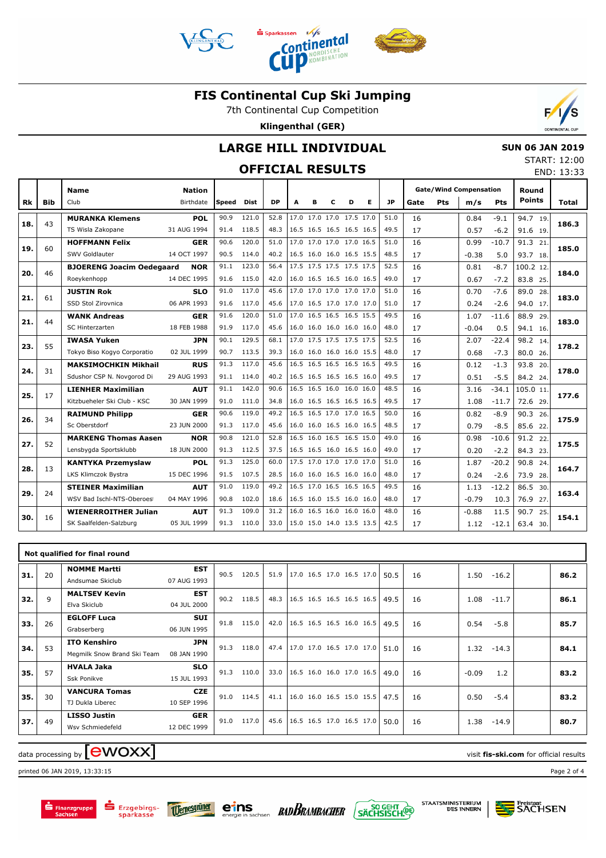



7th Continental Cup Competition

**Klingenthal (GER)**

## **LARGE HILL INDIVIDUAL**

# **OFFICIAL RESULTS**

| <b>CONTINENTAL CUP</b> |
|------------------------|

 **SUN 06 JAN 2019** START: 12:00 END: 13:33

|     |            |                                  |               |       |             |           |      |   |                          |   |   |           |      |     |                               |            | END: 13:3.             |              |
|-----|------------|----------------------------------|---------------|-------|-------------|-----------|------|---|--------------------------|---|---|-----------|------|-----|-------------------------------|------------|------------------------|--------------|
|     |            | <b>Name</b>                      | <b>Nation</b> |       |             |           |      |   |                          |   |   |           |      |     | <b>Gate/Wind Compensation</b> |            | Round<br><b>Points</b> |              |
| Rk  | <b>Bib</b> | Club                             | Birthdate     | Speed | <b>Dist</b> | <b>DP</b> | A    | в | c                        | D | Е | <b>JP</b> | Gate | Pts | m/s                           | <b>Pts</b> |                        | <b>Total</b> |
| 18. | 43         | <b>MURANKA Klemens</b>           | POL           | 90.9  | 121.0       | 52.8      |      |   | 17.0 17.0 17.0 17.5 17.0 |   |   | 51.0      | 16   |     | 0.84                          | $-9.1$     | 94.7 19.               | 186.3        |
|     |            | TS Wisla Zakopane                | 31 AUG 1994   | 91.4  | 118.5       | 48.3      |      |   | 16.5 16.5 16.5 16.5 16.5 |   |   | 49.5      | 17   |     | 0.57                          | $-6.2$     | 91.6 19.               |              |
| 19. | 60         | <b>HOFFMANN Felix</b>            | <b>GER</b>    | 90.6  | 120.0       | 51.0      |      |   | 17.0 17.0 17.0 17.0 16.5 |   |   | 51.0      | 16   |     | 0.99                          | $-10.7$    | 91.3 21.               | 185.0        |
|     |            | SWV Goldlauter                   | 14 OCT 1997   | 90.5  | 114.0       | 40.2      |      |   | 16.5 16.0 16.0 16.5 15.5 |   |   | 48.5      | 17   |     | $-0.38$                       | 5.0        | 93.7 18.               |              |
| 20. | 46         | <b>BJOERENG Joacim Oedegaard</b> | <b>NOR</b>    | 91.1  | 123.0       | 56.4      |      |   | 17.5 17.5 17.5 17.5 17.5 |   |   | 52.5      | 16   |     | 0.81                          | $-8.7$     | 100.2 12.              | 184.0        |
|     |            | Roeykenhopp                      | 14 DEC 1995   | 91.6  | 115.0       | 42.0      |      |   | 16.0 16.5 16.5 16.0 16.5 |   |   | 49.0      | 17   |     | 0.67                          | $-7.2$     | 83.8 25.               |              |
| 21. | 61         | <b>JUSTIN Rok</b>                | <b>SLO</b>    | 91.0  | 117.0       | 45.6      |      |   | 17.0 17.0 17.0 17.0 17.0 |   |   | 51.0      | 16   |     | 0.70                          | $-7.6$     | 89.0 28.               | 183.0        |
|     |            | SSD Stol Zirovnica               | 06 APR 1993   | 91.6  | 117.0       | 45.6      |      |   | 17.0 16.5 17.0 17.0 17.0 |   |   | 51.0      | 17   |     | 0.24                          | $-2.6$     | 94.0 17.               |              |
| 21. | 44         | <b>WANK Andreas</b>              | <b>GER</b>    | 91.6  | 120.0       | 51.0      |      |   | 17.0 16.5 16.5 16.5 15.5 |   |   | 49.5      | 16   |     | 1.07                          | $-11.6$    | 88.9 29.               | 183.0        |
|     |            | <b>SC Hinterzarten</b>           | 18 FEB 1988   | 91.9  | 117.0       | 45.6      |      |   | 16.0 16.0 16.0 16.0 16.0 |   |   | 48.0      | 17   |     | $-0.04$                       | 0.5        | 94.1 16.               |              |
| 23. | 55         | <b>IWASA Yuken</b>               | <b>JPN</b>    | 90.1  | 129.5       | 68.1      |      |   | 17.0 17.5 17.5 17.5 17.5 |   |   | 52.5      | 16   |     | 2.07                          | $-22.4$    | 98.2 14.               | 178.2        |
|     |            | Tokyo Biso Kogyo Corporatio      | 02 JUL 1999   | 90.7  | 113.5       | 39.3      |      |   | 16.0 16.0 16.0 16.0 15.5 |   |   | 48.0      | 17   |     | 0.68                          | $-7.3$     | 80.0 26.               |              |
| 24. | 31         | <b>MAKSIMOCHKIN Mikhail</b>      | <b>RUS</b>    | 91.3  | 117.0       | 45.6      |      |   | 16.5 16.5 16.5 16.5 16.5 |   |   | 49.5      | 16   |     | 0.12                          | $-1.3$     | 93.8 20.               | 178.0        |
|     |            | Sdushor CSP N. Novgorod Di       | 29 AUG 1993   | 91.1  | 114.0       | 40.2      |      |   | 16.5 16.5 16.5 16.5 16.0 |   |   | 49.5      | 17   |     | 0.51                          | $-5.5$     | 84.2 24.               |              |
| 25. | 17         | <b>LIENHER Maximilian</b>        | <b>AUT</b>    | 91.1  | 142.0       | 90.6      | 16.5 |   | 16.5 16.0 16.0 16.0      |   |   | 48.5      | 16   |     | 3.16                          | $-34.1$    | 105.0 11.              | 177.6        |
|     |            | Kitzbueheler Ski Club - KSC      | 30 JAN 1999   | 91.0  | 111.0       | 34.8      |      |   | 16.0 16.5 16.5 16.5 16.5 |   |   | 49.5      | 17   |     | 1.08                          | $-11.7$    | 72.6 29.               |              |
| 26. | 34         | <b>RAIMUND Philipp</b>           | <b>GER</b>    | 90.6  | 119.0       | 49.2      | 16.5 |   | 16.5 17.0 17.0 16.5      |   |   | 50.0      | 16   |     | 0.82                          | $-8.9$     | 90.3 26.               | 175.9        |
|     |            | Sc Oberstdorf                    | 23 JUN 2000   | 91.3  | 117.0       | 45.6      |      |   | 16.0 16.0 16.5 16.0 16.5 |   |   | 48.5      | 17   |     | 0.79                          | $-8.5$     | 85.6 22.               |              |
| 27. | 52         | <b>MARKENG Thomas Aasen</b>      | <b>NOR</b>    | 90.8  | 121.0       | 52.8      |      |   | 16.5 16.0 16.5 16.5 15.0 |   |   | 49.0      | 16   |     | 0.98                          | $-10.6$    | 91.2 22.               | 175.5        |
|     |            | Lensbygda Sportsklubb            | 18 JUN 2000   | 91.3  | 112.5       | 37.5      |      |   | 16.5 16.5 16.0 16.5 16.0 |   |   | 49.0      | 17   |     | 0.20                          | $-2.2$     | 84.3 23.               |              |
| 28. | 13         | <b>KANTYKA Przemyslaw</b>        | <b>POL</b>    | 91.3  | 125.0       | 60.0      |      |   | 17.5 17.0 17.0 17.0 17.0 |   |   | 51.0      | 16   |     | 1.87                          | $-20.2$    | 90.8 24.               | 164.7        |
|     |            | LKS Klimczok Bystra              | 15 DEC 1996   | 91.5  | 107.5       | 28.5      |      |   | 16.0 16.0 16.5 16.0 16.0 |   |   | 48.0      | 17   |     | 0.24                          | $-2.6$     | 73.9 28.               |              |
| 29. | 24         | <b>STEINER Maximilian</b>        | <b>AUT</b>    | 91.0  | 119.0       | 49.2      |      |   | 16.5 17.0 16.5 16.5 16.5 |   |   | 49.5      | 16   |     | 1.13                          | $-12.2$    | 86.5 30.               | 163.4        |
|     |            | WSV Bad Ischl-NTS-Oberoes        | 04 MAY 1996   | 90.8  | 102.0       | 18.6      |      |   | 16.5 16.0 15.5 16.0 16.0 |   |   | 48.0      | 17   |     | $-0.79$                       | 10.3       | 76.9 27.               |              |
| 30. | 16         | <b>WIENERROITHER Julian</b>      | <b>AUT</b>    | 91.3  | 109.0       | 31.2      |      |   | 16.0 16.5 16.0 16.0 16.0 |   |   | 48.0      | 16   |     | $-0.88$                       | 11.5       | 90.7 25.               | 154.1        |
|     |            | SK Saalfelden-Salzburg           | 05 JUL 1999   | 91.3  | 110.0       | 33.0      |      |   | 15.0 15.0 14.0 13.5 13.5 |   |   | 42.5      | 17   |     | 1.12                          | $-12.1$    | 63.4 30.               |              |

|     |    | Not qualified for final round                      |                           |      |       |      |                            |  |      |    |         |         |      |
|-----|----|----------------------------------------------------|---------------------------|------|-------|------|----------------------------|--|------|----|---------|---------|------|
| 31. | 20 | <b>NOMME Martti</b><br>Andsumae Skiclub            | <b>EST</b><br>07 AUG 1993 | 90.5 | 120.5 | 51.9 | 17.0 16.5 17.0 16.5 17.0   |  | 50.5 | 16 | 1.50    | $-16.2$ | 86.2 |
| 32. | 9  | <b>MALTSEV Kevin</b><br>Elva Skiclub               | <b>EST</b><br>04 JUL 2000 | 90.2 | 118.5 | 48.3 | $16.5$ 16.5 16.5 16.5 16.5 |  | 49.5 | 16 | 1.08    | $-11.7$ | 86.1 |
| 33. | 26 | <b>EGLOFF Luca</b><br>Grabserberg                  | <b>SUI</b><br>06 JUN 1995 | 91.8 | 115.0 | 42.0 | $16.5$ 16.5 16.5 16.0 16.5 |  | 49.5 | 16 | 0.54    | $-5.8$  | 85.7 |
| 34. | 53 | <b>ITO Kenshiro</b><br>Megmilk Snow Brand Ski Team | <b>JPN</b><br>08 JAN 1990 | 91.3 | 118.0 | 47.4 | 17.0 17.0 16.5 17.0 17.0   |  | 51.0 | 16 | 1.32    | $-14.3$ | 84.1 |
| 35. | 57 | <b>HVALA Jaka</b><br>Ssk Ponikve                   | <b>SLO</b><br>15 JUL 1993 | 91.3 | 110.0 | 33.0 | $16.5$ 16.0 16.0 17.0 16.5 |  | 49.0 | 16 | $-0.09$ | 1.2     | 83.2 |
| 35. | 30 | <b>VANCURA Tomas</b><br>TJ Dukla Liberec           | <b>CZE</b><br>10 SEP 1996 | 91.0 | 114.5 | 41.1 | $16.0$ 16.0 16.5 15.0 15.5 |  | 47.5 | 16 | 0.50    | $-5.4$  | 83.2 |
| 37. | 49 | <b>LISSO Justin</b><br>Wsv Schmiedefeld            | <b>GER</b><br>12 DEC 1999 | 91.0 | 117.0 | 45.6 | 16.5 16.5 17.0 16.5 17.0   |  | 50.0 | 16 | 1.38    | $-14.9$ | 80.7 |

# data processing by **CWOXX** and  $\blacksquare$  and  $\blacksquare$  and  $\blacksquare$  and  $\blacksquare$  and  $\blacksquare$  and  $\blacksquare$  and  $\blacksquare$  and  $\blacksquare$  and  $\blacksquare$  and  $\blacksquare$  and  $\blacksquare$  and  $\blacksquare$  and  $\blacksquare$  and  $\blacksquare$  and  $\blacksquare$  and  $\blacksquare$  and  $\blacksquare$  and  $\blacks$

Erzgebirgs-<br>sparkasse

printed 06 JAN 2019, 13:33:15 Page 2 of 4







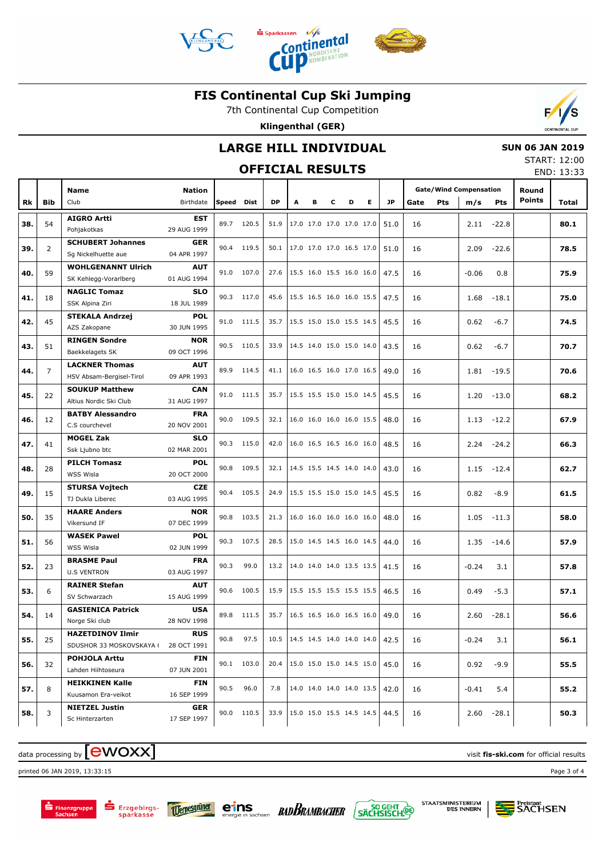



**Continental** 

7th Continental Cup Competition

**Klingenthal (GER)**



### **LARGE HILL INDIVIDUAL**

## **OFFICIAL RESULTS**

 **SUN 06 JAN 2019** START: 12:00

|     |                |                                                     |                            |       |            | <b>OFFICIAL RESULTS</b> |   |                          |   |   |    |           |      |            |                                      |              |                        | END: 13:33 |
|-----|----------------|-----------------------------------------------------|----------------------------|-------|------------|-------------------------|---|--------------------------|---|---|----|-----------|------|------------|--------------------------------------|--------------|------------------------|------------|
| Rk  | <b>Bib</b>     | <b>Name</b><br>Club                                 | <b>Nation</b><br>Birthdate | Speed | Dist       | <b>DP</b>               | A | в                        | C | D | E. | <b>JP</b> | Gate | <b>Pts</b> | <b>Gate/Wind Compensation</b><br>m/s | <b>Pts</b>   | Round<br><b>Points</b> | Total      |
| 38. | 54             | <b>AIGRO Artti</b>                                  | <b>EST</b>                 | 89.7  | 120.5      | 51.9                    |   | 17.0 17.0 17.0 17.0 17.0 |   |   |    | 51.0      | 16   |            | 2.11                                 | $-22.8$      |                        | 80.1       |
| 39. | $\overline{2}$ | Pohjakotkas<br><b>SCHUBERT Johannes</b>             | 29 AUG 1999<br><b>GER</b>  | 90.4  | 119.5      | 50.1                    |   | 17.0 17.0 17.0 16.5 17.0 |   |   |    | 51.0      | 16   |            | 2.09                                 | $-22.6$      |                        | 78.5       |
|     |                | Sg Nickelhuette aue<br><b>WOHLGENANNT Ulrich</b>    | 04 APR 1997<br><b>AUT</b>  |       |            |                         |   |                          |   |   |    |           |      |            |                                      |              |                        |            |
| 40. | 59             | SK Kehlegg-Vorarlberg                               | 01 AUG 1994                |       | 91.0 107.0 | 27.6                    |   | 15.5 16.0 15.5 16.0 16.0 |   |   |    | 47.5      | 16   |            | $-0.06$                              | 0.8          |                        | 75.9       |
| 41. | 18             | <b>NAGLIC Tomaz</b><br>SSK Alpina Ziri              | <b>SLO</b><br>18 JUL 1989  |       | 90.3 117.0 | 45.6                    |   | 15.5 16.5 16.0 16.0 15.5 |   |   |    | 47.5      | 16   |            | 1.68                                 | $-18.1$      |                        | 75.0       |
| 42. | 45             | <b>STEKALA Andrzej</b><br>AZS Zakopane              | <b>POL</b><br>30 JUN 1995  |       | 91.0 111.5 | 35.7                    |   | 15.5 15.0 15.0 15.5 14.5 |   |   |    | 45.5      | 16   |            | 0.62                                 | $-6.7$       |                        | 74.5       |
| 43. | 51             | <b>RINGEN Sondre</b><br>Baekkelagets SK             | <b>NOR</b><br>09 OCT 1996  |       | 90.5 110.5 | 33.9                    |   | 14.5 14.0 15.0 15.0 14.0 |   |   |    | 43.5      | 16   |            | 0.62                                 | $-6.7$       |                        | 70.7       |
| 44. | $\overline{7}$ | <b>LACKNER Thomas</b><br>HSV Absam-Bergisel-Tirol   | <b>AUT</b><br>09 APR 1993  |       | 89.9 114.5 | 41.1                    |   | 16.0 16.5 16.0 17.0 16.5 |   |   |    | 49.0      | 16   |            | 1.81                                 | $-19.5$      |                        | 70.6       |
| 45. | 22             | <b>SOUKUP Matthew</b><br>Altius Nordic Ski Club     | <b>CAN</b><br>31 AUG 1997  |       | 91.0 111.5 | 35.7                    |   | 15.5 15.5 15.0 15.0 14.5 |   |   |    | 45.5      | 16   |            | 1.20                                 | $-13.0$      |                        | 68.2       |
| 46. | 12             | <b>BATBY Alessandro</b>                             | <b>FRA</b>                 |       | 90.0 109.5 | 32.1                    |   | 16.0 16.0 16.0 16.0 15.5 |   |   |    | 48.0      | 16   |            | 1.13                                 | $-12.2$      |                        | 67.9       |
| 47. | 41             | C.S courchevel<br><b>MOGEL Zak</b>                  | 20 NOV 2001<br><b>SLO</b>  |       | 90.3 115.0 | 42.0                    |   | 16.0 16.5 16.5 16.0 16.0 |   |   |    | 48.5      | 16   |            | 2.24                                 | $-24.2$      |                        | 66.3       |
| 48. | 28             | Ssk Ljubno btc<br><b>PILCH Tomasz</b>               | 02 MAR 2001<br><b>POL</b>  |       | 90.8 109.5 | 32.1                    |   | 14.5 15.5 14.5 14.0 14.0 |   |   |    | 43.0      | 16   |            | 1.15                                 | $-12.4$      |                        | 62.7       |
| 49. | 15             | WSS Wisla<br><b>STURSA Vojtech</b>                  | 20 OCT 2000<br><b>CZE</b>  | 90.4  | 105.5      | 24.9                    |   | 15.5 15.5 15.0 15.0 14.5 |   |   |    | 45.5      | 16   |            | 0.82                                 | $-8.9$       |                        | 61.5       |
| 50. | 35             | TJ Dukla Liberec<br><b>HAARE Anders</b>             | 03 AUG 1995<br><b>NOR</b>  | 90.8  | 103.5      | 21.3                    |   | 16.0 16.0 16.0 16.0 16.0 |   |   |    | 48.0      | 16   |            | 1.05                                 | $-11.3$      |                        | 58.0       |
|     |                | Vikersund IF<br><b>WASEK Pawel</b>                  | 07 DEC 1999<br><b>POL</b>  |       |            |                         |   |                          |   |   |    |           |      |            |                                      |              |                        |            |
| 51. | 56             | WSS Wisla                                           | 02 JUN 1999                |       | 90.3 107.5 | 28.5                    |   | 15.0 14.5 14.5 16.0 14.5 |   |   |    | 44.0      | 16   |            | 1.35                                 | $-14.6$      |                        | 57.9       |
| 52. | 23             | <b>BRASME Paul</b><br><b>U.S VENTRON</b>            | <b>FRA</b><br>03 AUG 1997  | 90.3  | 99.0       | 13.2                    |   | 14.0 14.0 14.0 13.5 13.5 |   |   |    | 41.5      | 16   |            | $-0.24$                              | 3.1          |                        | 57.8       |
| 53. | 6              | <b>RAINER Stefan</b><br>SV Schwarzach               | <b>AUT</b><br>15 AUG 1999  | 90.6  | 100.5      | 15.9                    |   | 15.5 15.5 15.5 15.5 15.5 |   |   |    | 46.5      | 16   |            | 0.49                                 | $-5.3$       |                        | 57.1       |
| 54. | 14             | <b>GASIENICA Patrick</b><br>Norge Ski club          | <b>USA</b><br>28 NOV 1998  |       | 89.8 111.5 | 35.7                    |   | 16.5 16.5 16.0 16.5 16.0 |   |   |    | 49.0      | 16   |            | 2.60                                 | $-28.1$      |                        | 56.6       |
| 55. | 25             | <b>HAZETDINOV Ilmir</b><br>SDUSHOR 33 MOSKOVSKAYA ( | <b>RUS</b><br>28 OCT 1991  | 90.8  | 97.5       | 10.5                    |   | 14.5 14.5 14.0 14.0 14.0 |   |   |    | 42.5      | 16   |            | $-0.24$                              | 3.1          |                        | 56.1       |
| 56. | 32             | <b>POHJOLA Arttu</b><br>Lahden Hiihtoseura          | <b>FIN</b><br>07 JUN 2001  |       | 90.1 103.0 | 20.4                    |   | 15.0 15.0 15.0 14.5 15.0 |   |   |    | 45.0      | 16   |            | 0.92                                 | $-9.9$       |                        | 55.5       |
| 57. | 8              | <b>HEIKKINEN Kalle</b><br>Kuusamon Era-veikot       | FIN<br>16 SEP 1999         | 90.5  | 96.0       | 7.8                     |   | 14.0 14.0 14.0 14.0 13.5 |   |   |    | 42.0      | 16   |            | $-0.41$                              | 5.4          |                        | 55.2       |
| 58. | 3              | <b>NIETZEL Justin</b><br>Sc Hinterzarten            | GER<br>17 SEP 1997         |       | 90.0 110.5 | 33.9                    |   | 15.0 15.0 15.5 14.5 14.5 |   |   |    | 44.5      | 16   |            |                                      | $2.60 -28.1$ |                        | 50.3       |

# data processing by **CWOXX** and  $\overline{C}$  and  $\overline{C}$  and  $\overline{C}$  and  $\overline{C}$  and  $\overline{C}$  and  $\overline{C}$  and  $\overline{C}$  and  $\overline{C}$  and  $\overline{C}$  and  $\overline{C}$  and  $\overline{C}$  and  $\overline{C}$  and  $\overline{C}$  and  $\overline{C}$  and  $\overline{C}$

printed 06 JAN 2019, 13:33:15 Page 3 of 4